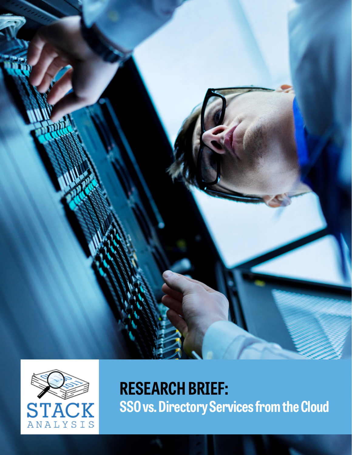



**RESEARCH BRIEF: SSO vs. Directory Services from the Cloud**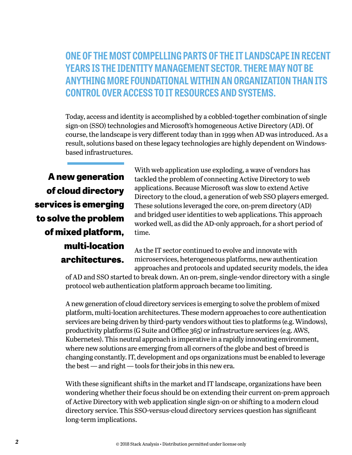**ONE OF THE MOST COMPELLING PARTS OF THE IT LANDSCAPE IN RECENT YEARS IS THE IDENTITY MANAGEMENT SECTOR. THERE MAY NOT BE ANYTHING MORE FOUNDATIONAL WITHIN AN ORGANIZATION THAN ITS CONTROL OVER ACCESS TO IT RESOURCES AND SYSTEMS.**

Today, access and identity is accomplished by a cobbled-together combination of single sign-on (SSO) technologies and Microsoft's homogeneous Active Directory (AD). Of course, the landscape is very different today than in 1999 when AD was introduced. As a result, solutions based on these legacy technologies are highly dependent on Windowsbased infrastructures.

**A new generation of cloud directory services is emerging to solve the problem of mixed platform, multi-location architectures.**

With web application use exploding, a wave of vendors has tackled the problem of connecting Active Directory to web applications. Because Microsoft was slow to extend Active Directory to the cloud, a generation of web SSO players emerged. These solutions leveraged the core, on-prem directory (AD) and bridged user identities to web applications. This approach worked well, as did the AD-only approach, for a short period of time.

As the IT sector continued to evolve and innovate with microservices, heterogeneous platforms, new authentication approaches and protocols and updated security models, the idea

of AD and SSO started to break down. An on-prem, single-vendor directory with a single protocol web authentication platform approach became too limiting.

A new generation of cloud directory services is emerging to solve the problem of mixed platform, multi-location architectures. These modern approaches to core authentication services are being driven by third-party vendors without ties to platforms (e.g. Windows), productivity platforms (G Suite and Office 365) or infrastructure services (e.g. AWS, Kubernetes). This neutral approach is imperative in a rapidly innovating environment, where new solutions are emerging from all corners of the globe and best of breed is changing constantly. IT, development and ops organizations must be enabled to leverage the best — and right — tools for their jobs in this new era.

With these significant shifts in the market and IT landscape, organizations have been wondering whether their focus should be on extending their current on-prem approach of Active Directory with web application single sign-on or shifting to a modern cloud directory service. This SSO-versus-cloud directory services question has significant long-term implications.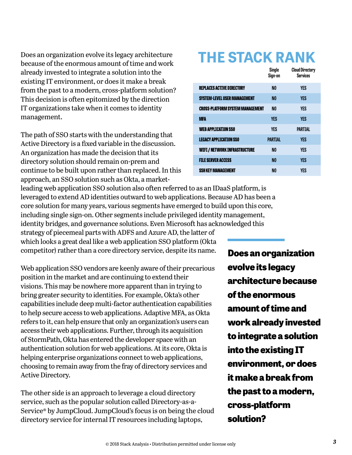Does an organization evolve its legacy architecture because of the enormous amount of time and work already invested to integrate a solution into the existing IT environment, or does it make a break from the past to a modern, cross-platform solution? This decision is often epitomized by the direction IT organizations take when it comes to identity management.

The path of SSO starts with the understanding that Active Directory is a fixed variable in the discussion. An organization has made the decision that its directory solution should remain on-prem and continue to be built upon rather than replaced. In this approach, an SSO solution such as Okta, a market-

leading web application SSO solution also often referred to as an IDaaS platform, is leveraged to extend AD identities outward to web applications. Because AD has been a core solution for many years, various segments have emerged to build upon this core, including single sign-on. Other segments include privileged identity management, identity bridges, and governance solutions. Even Microsoft has acknowledged this strategy of piecemeal parts with ADFS and Azure AD, the latter of which looks a great deal like a web application SSO platform (Okta competitor) rather than a core directory service, despite its name.

Web application SSO vendors are keenly aware of their precarious position in the market and are continuing to extend their visions. This may be nowhere more apparent than in trying to bring greater security to identities. For example, Okta's other capabilities include deep multi-factor authentication capabilities to help secure access to web applications. Adaptive MFA, as Okta refers to it, can help ensure that only an organization's users can access their web applications. Further, through its acquisition of StormPath, Okta has entered the developer space with an authentication solution for web applications. At its core, Okta is helping enterprise organizations connect to web applications, choosing to remain away from the fray of directory services and Active Directory.

The other side is an approach to leverage a cloud directory service, such as the popular solution called Directory-as-a-Service® by JumpCloud. JumpCloud's focus is on being the cloud directory service for internal IT resources including laptops,

## **THE STACK RANK**

|                                         | Single<br>Sign-on | <b>Cloud Directory</b><br>Services |
|-----------------------------------------|-------------------|------------------------------------|
| <b>REPLACES ACTIVE DIRECTORY</b>        | N <sub>0</sub>    | <b>YES</b>                         |
| <b>SYSTEM-LEVEL USER MANAGEMENT</b>     | N <sub>0</sub>    | <b>YES</b>                         |
| <b>CROSS-PLATFORM SYSTEM MANAGEMENT</b> | N <sub>0</sub>    | <b>YES</b>                         |
| <b>MFA</b>                              | <b>YES</b>        | <b>YES</b>                         |
| <b>WEB APPLICATION SSO</b>              | YES               | <b>PARTIAL</b>                     |
| <b>LEGACY APPLICATION SSO</b>           | <b>PARTIAL</b>    | <b>YES</b>                         |
| <b>WIFI/NETWORK INFRASTRUCTURE</b>      | N <sub>0</sub>    | <b>YES</b>                         |
| <b>FILE SERVER ACCESS</b>               | N <sub>0</sub>    | <b>YES</b>                         |
| <b>SSH KEY MANAGEMENT</b>               | N <sub>0</sub>    | YES                                |

**Does an organization evolve its legacy architecture because of the enormous amount of time and work already invested to integrate a solution into the existing IT environment, or does it make a break from the past to a modern, cross-platform solution?**